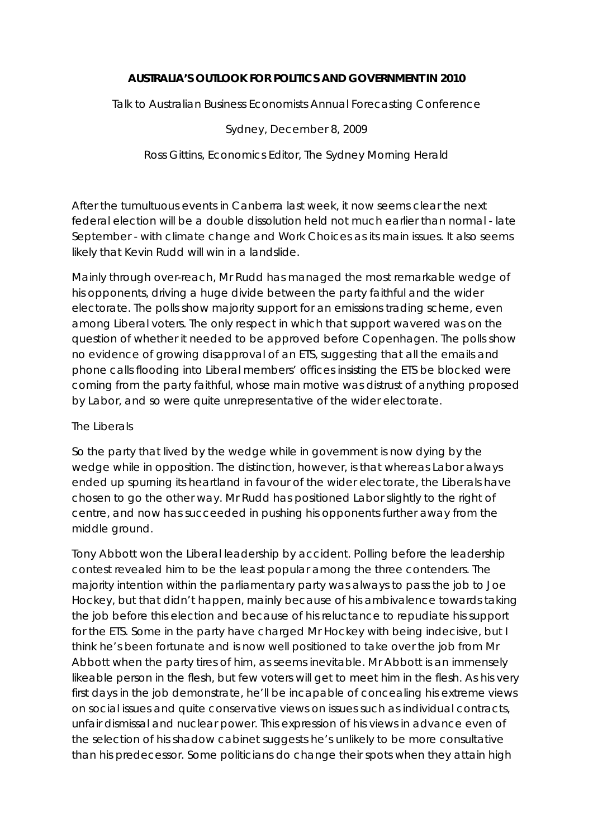## **AUSTRALIA'S OUTLOOK FOR POLITICS AND GOVERNMENT IN 2010**

Talk to Australian Business Economists Annual Forecasting Conference

Sydney, December 8, 2009

Ross Gittins, Economics Editor, The Sydney Morning Herald

After the tumultuous events in Canberra last week, it now seems clear the next federal election will be a double dissolution held not much earlier than normal - late September - with climate change and Work Choices as its main issues. It also seems likely that Kevin Rudd will win in a landslide.

Mainly through over-reach, Mr Rudd has managed the most remarkable wedge of his opponents, driving a huge divide between the party faithful and the wider electorate. The polls show majority support for an emissions trading scheme, even among Liberal voters. The only respect in which that support wavered was on the question of whether it needed to be approved before Copenhagen. The polls show no evidence of growing disapproval of an ETS, suggesting that all the emails and phone calls flooding into Liberal members' offices insisting the ETS be blocked were coming from the party faithful, whose main motive was distrust of anything proposed by Labor, and so were quite unrepresentative of the wider electorate.

## The Liberals

So the party that lived by the wedge while in government is now dying by the wedge while in opposition. The distinction, however, is that whereas Labor always ended up spurning its heartland in favour of the wider electorate, the Liberals have chosen to go the other way. Mr Rudd has positioned Labor slightly to the right of centre, and now has succeeded in pushing his opponents further away from the middle ground.

Tony Abbott won the Liberal leadership by accident. Polling before the leadership contest revealed him to be the least popular among the three contenders. The majority intention within the parliamentary party was always to pass the job to Joe Hockey, but that didn't happen, mainly because of his ambivalence towards taking the job before this election and because of his reluctance to repudiate his support for the ETS. Some in the party have charged Mr Hockey with being indecisive, but I think he's been fortunate and is now well positioned to take over the job from Mr Abbott when the party tires of him, as seems inevitable. Mr Abbott is an immensely likeable person in the flesh, but few voters will get to meet him in the flesh. As his very first days in the job demonstrate, he'll be incapable of concealing his extreme views on social issues and quite conservative views on issues such as individual contracts, unfair dismissal and nuclear power. This expression of his views in advance even of the selection of his shadow cabinet suggests he's unlikely to be more consultative than his predecessor. Some politicians do change their spots when they attain high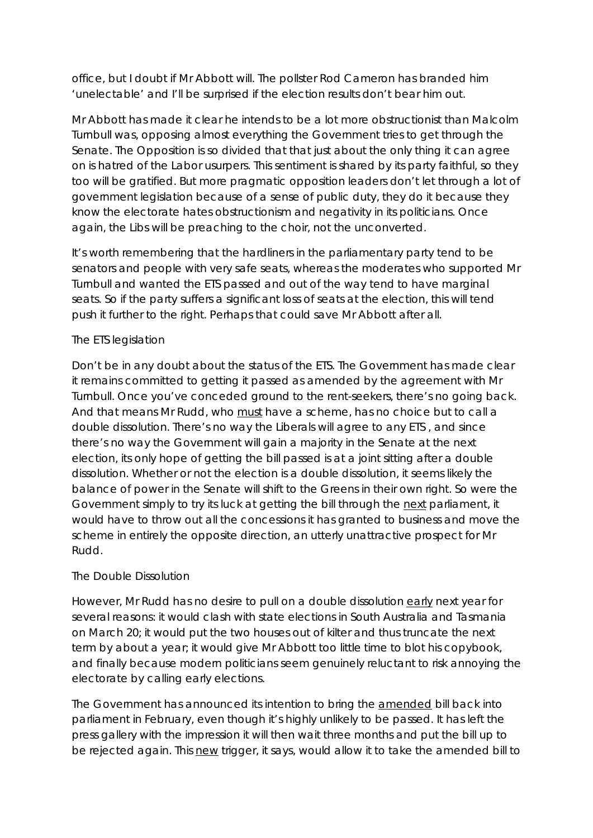office, but I doubt if Mr Abbott will. The pollster Rod Cameron has branded him 'unelectable' and I'll be surprised if the election results don't bear him out.

Mr Abbott has made it clear he intends to be a lot more obstructionist than Malcolm Turnbull was, opposing almost everything the Government tries to get through the Senate. The Opposition is so divided that that just about the only thing it can agree on is hatred of the Labor usurpers. This sentiment is shared by its party faithful, so they too will be gratified. But more pragmatic opposition leaders don't let through a lot of government legislation because of a sense of public duty, they do it because they know the electorate hates obstructionism and negativity in its politicians. Once again, the Libs will be preaching to the choir, not the unconverted.

It's worth remembering that the hardliners in the parliamentary party tend to be senators and people with very safe seats, whereas the moderates who supported Mr Turnbull and wanted the ETS passed and out of the way tend to have marginal seats. So if the party suffers a significant loss of seats at the election, this will tend push it further to the right. Perhaps that could save Mr Abbott after all.

### The ETS legislation

Don't be in any doubt about the status of the ETS. The Government has made clear it remains committed to getting it passed as amended by the agreement with Mr Turnbull. Once you've conceded ground to the rent-seekers, there's no going back. And that means Mr Rudd, who must have a scheme, has no choice but to call a double dissolution. There's no way the Liberals will agree to any ETS , and since there's no way the Government will gain a majority in the Senate at the next election, its only hope of getting the bill passed is at a joint sitting after a double dissolution. Whether or not the election is a double dissolution, it seems likely the balance of power in the Senate will shift to the Greens in their own right. So were the Government simply to try its luck at getting the bill through the next parliament, it would have to throw out all the concessions it has granted to business and move the scheme in entirely the opposite direction, an utterly unattractive prospect for Mr Rudd.

## The Double Dissolution

However, Mr Rudd has no desire to pull on a double dissolution early next year for several reasons: it would clash with state elections in South Australia and Tasmania on March 20; it would put the two houses out of kilter and thus truncate the next term by about a year; it would give Mr Abbott too little time to blot his copybook, and finally because modern politicians seem genuinely reluctant to risk annoying the electorate by calling early elections.

The Government has announced its intention to bring the amended bill back into parliament in February, even though it's highly unlikely to be passed. It has left the press gallery with the impression it will then wait three months and put the bill up to be rejected again. This new trigger, it says, would allow it to take the amended bill to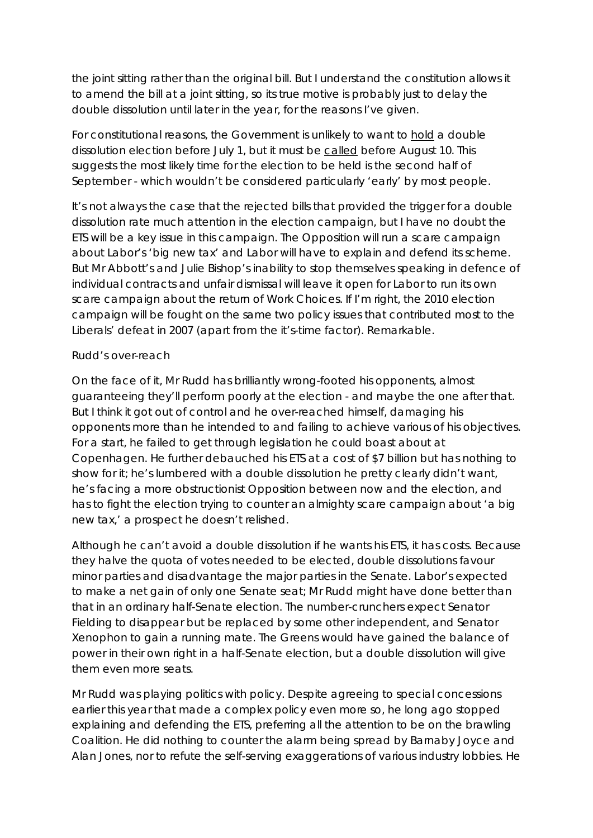the joint sitting rather than the original bill. But I understand the constitution allows it to amend the bill at a joint sitting, so its true motive is probably just to delay the double dissolution until later in the year, for the reasons I've given.

For constitutional reasons, the Government is unlikely to want to hold a double dissolution election before July 1, but it must be called before August 10. This suggests the most likely time for the election to be held is the second half of September - which wouldn't be considered particularly 'early' by most people.

It's not always the case that the rejected bills that provided the trigger for a double dissolution rate much attention in the election campaign, but I have no doubt the ETS will be a key issue in this campaign. The Opposition will run a scare campaign about Labor's 'big new tax' and Labor will have to explain and defend its scheme. But Mr Abbott's and Julie Bishop's inability to stop themselves speaking in defence of individual contracts and unfair dismissal will leave it open for Labor to run its own scare campaign about the return of Work Choices. If I'm right, the 2010 election campaign will be fought on the same two policy issues that contributed most to the Liberals' defeat in 2007 (apart from the it's-time factor). Remarkable.

## Rudd's over-reach

On the face of it, Mr Rudd has brilliantly wrong-footed his opponents, almost guaranteeing they'll perform poorly at the election - and maybe the one after that. But I think it got out of control and he over-reached himself, damaging his opponents more than he intended to and failing to achieve various of his objectives. For a start, he failed to get through legislation he could boast about at Copenhagen. He further debauched his ETS at a cost of \$7 billion but has nothing to show for it; he's lumbered with a double dissolution he pretty clearly didn't want, he's facing a more obstructionist Opposition between now and the election, and has to fight the election trying to counter an almighty scare campaign about 'a big new tax,' a prospect he doesn't relished.

Although he can't avoid a double dissolution if he wants his ETS, it has costs. Because they halve the quota of votes needed to be elected, double dissolutions favour minor parties and disadvantage the major parties in the Senate. Labor's expected to make a net gain of only one Senate seat; Mr Rudd might have done better than that in an ordinary half-Senate election. The number-crunchers expect Senator Fielding to disappear but be replaced by some other independent, and Senator Xenophon to gain a running mate. The Greens would have gained the balance of power in their own right in a half-Senate election, but a double dissolution will give them even more seats.

Mr Rudd was playing politics with policy. Despite agreeing to special concessions earlier this year that made a complex policy even more so, he long ago stopped explaining and defending the ETS, preferring all the attention to be on the brawling Coalition. He did nothing to counter the alarm being spread by Barnaby Joyce and Alan Jones, nor to refute the self-serving exaggerations of various industry lobbies. He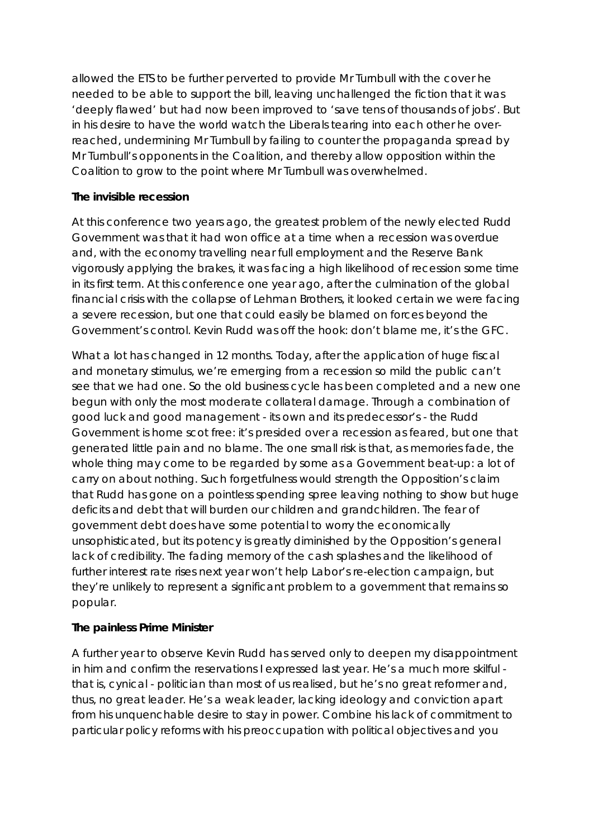allowed the ETS to be further perverted to provide Mr Turnbull with the cover he needed to be able to support the bill, leaving unchallenged the fiction that it was 'deeply flawed' but had now been improved to 'save tens of thousands of jobs'. But in his desire to have the world watch the Liberals tearing into each other he overreached, undermining Mr Turnbull by failing to counter the propaganda spread by Mr Turnbull's opponents in the Coalition, and thereby allow opposition within the Coalition to grow to the point where Mr Turnbull was overwhelmed.

### **The invisible recession**

At this conference two years ago, the greatest problem of the newly elected Rudd Government was that it had won office at a time when a recession was overdue and, with the economy travelling near full employment and the Reserve Bank vigorously applying the brakes, it was facing a high likelihood of recession some time in its first term. At this conference one year ago, after the culmination of the global financial crisis with the collapse of Lehman Brothers, it looked certain we were facing a severe recession, but one that could easily be blamed on forces beyond the Government's control. Kevin Rudd was off the hook: don't blame me, it's the GFC.

What a lot has changed in 12 months. Today, after the application of huge fiscal and monetary stimulus, we're emerging from a recession so mild the public can't see that we had one. So the old business cycle has been completed and a new one begun with only the most moderate collateral damage. Through a combination of good luck and good management - its own and its predecessor's - the Rudd Government is home scot free: it's presided over a recession as feared, but one that generated little pain and no blame. The one small risk is that, as memories fade, the whole thing may come to be regarded by some as a Government beat-up: a lot of carry on about nothing. Such forgetfulness would strength the Opposition's claim that Rudd has gone on a pointless spending spree leaving nothing to show but huge deficits and debt that will burden our children and grandchildren. The fear of government debt does have some potential to worry the economically unsophisticated, but its potency is greatly diminished by the Opposition's general lack of credibility. The fading memory of the cash splashes and the likelihood of further interest rate rises next year won't help Labor's re-election campaign, but they're unlikely to represent a significant problem to a government that remains so popular.

## **The painless Prime Minister**

A further year to observe Kevin Rudd has served only to deepen my disappointment in him and confirm the reservations I expressed last year. He's a much more skilful that is, cynical - politician than most of us realised, but he's no great reformer and, thus, no great leader. He's a weak leader, lacking ideology and conviction apart from his unquenchable desire to stay in power. Combine his lack of commitment to particular policy reforms with his preoccupation with political objectives and you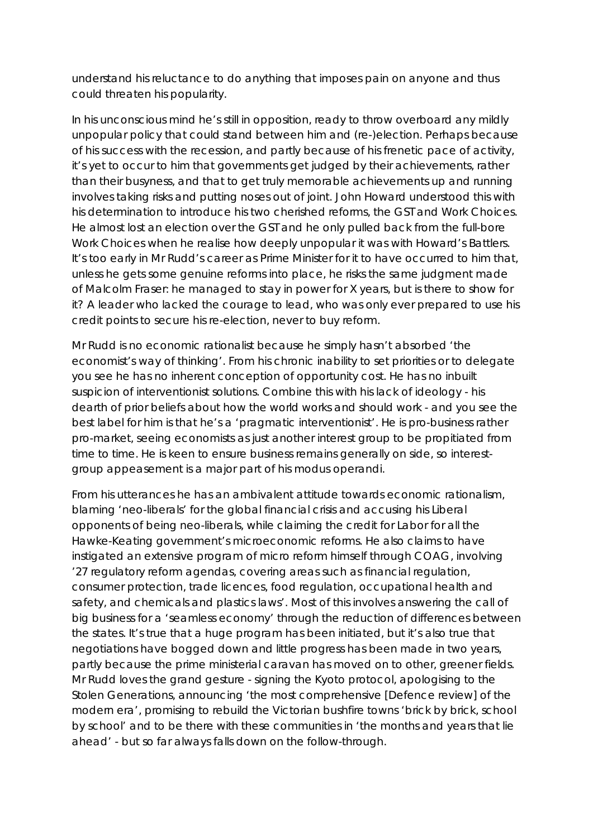understand his reluctance to do anything that imposes pain on anyone and thus could threaten his popularity.

In his unconscious mind he's still in opposition, ready to throw overboard any mildly unpopular policy that could stand between him and (re-)election. Perhaps because of his success with the recession, and partly because of his frenetic pace of activity, it's yet to occur to him that governments get judged by their achievements, rather than their busyness, and that to get truly memorable achievements up and running involves taking risks and putting noses out of joint. John Howard understood this with his determination to introduce his two cherished reforms, the GST and Work Choices. He almost lost an election over the GST and he only pulled back from the full-bore Work Choices when he realise how deeply unpopular it was with Howard's Battlers. It's too early in Mr Rudd's career as Prime Minister for it to have occurred to him that, unless he gets some genuine reforms into place, he risks the same judgment made of Malcolm Fraser: he managed to stay in power for X years, but is there to show for it? A leader who lacked the courage to lead, who was only ever prepared to use his credit points to secure his re-election, never to buy reform.

Mr Rudd is no economic rationalist because he simply hasn't absorbed 'the economist's way of thinking'. From his chronic inability to set priorities or to delegate you see he has no inherent conception of opportunity cost. He has no inbuilt suspicion of interventionist solutions. Combine this with his lack of ideology - his dearth of prior beliefs about how the world works and should work - and you see the best label for him is that he's a 'pragmatic interventionist'. He is pro-business rather pro-market, seeing economists as just another interest group to be propitiated from time to time. He is keen to ensure business remains generally on side, so interestgroup appeasement is a major part of his modus operandi.

From his utterances he has an ambivalent attitude towards economic rationalism, blaming 'neo-liberals' for the global financial crisis and accusing his Liberal opponents of being neo-liberals, while claiming the credit for Labor for all the Hawke-Keating government's microeconomic reforms. He also claims to have instigated an extensive program of micro reform himself through COAG, involving '27 regulatory reform agendas, covering areas such as financial regulation, consumer protection, trade licences, food regulation, occupational health and safety, and chemicals and plastics laws'. Most of this involves answering the call of big business for a 'seamless economy' through the reduction of differences between the states. It's true that a huge program has been initiated, but it's also true that negotiations have bogged down and little progress has been made in two years, partly because the prime ministerial caravan has moved on to other, greener fields. Mr Rudd loves the grand gesture - signing the Kyoto protocol, apologising to the Stolen Generations, announcing 'the most comprehensive [Defence review] of the modern era', promising to rebuild the Victorian bushfire towns 'brick by brick, school by school' and to be there with these communities in 'the months and years that lie ahead' - but so far always falls down on the follow-through.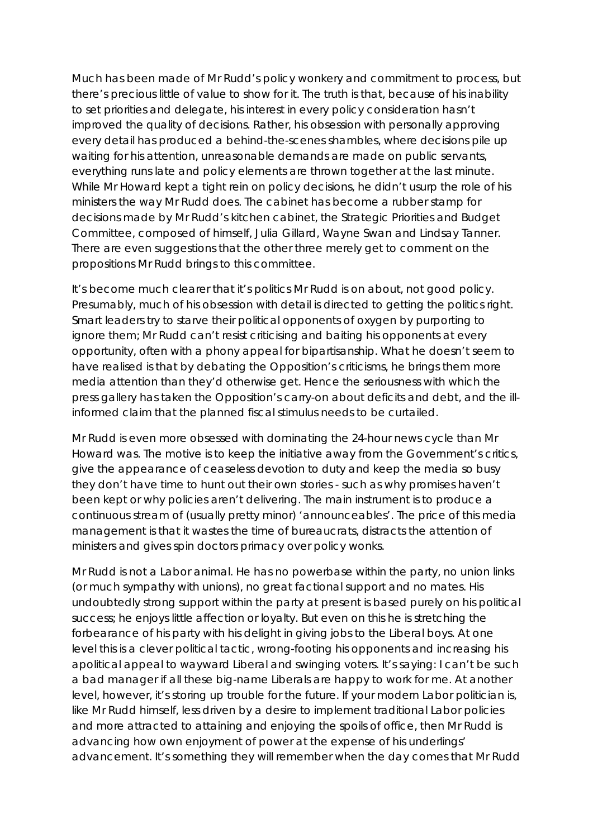Much has been made of Mr Rudd's policy wonkery and commitment to process, but there's precious little of value to show for it. The truth is that, because of his inability to set priorities and delegate, his interest in every policy consideration hasn't improved the quality of decisions. Rather, his obsession with personally approving every detail has produced a behind-the-scenes shambles, where decisions pile up waiting for his attention, unreasonable demands are made on public servants, everything runs late and policy elements are thrown together at the last minute. While Mr Howard kept a tight rein on policy decisions, he didn't usurp the role of his ministers the way Mr Rudd does. The cabinet has become a rubber stamp for decisions made by Mr Rudd's kitchen cabinet, the Strategic Priorities and Budget Committee, composed of himself, Julia Gillard, Wayne Swan and Lindsay Tanner. There are even suggestions that the other three merely get to comment on the propositions Mr Rudd brings to this committee.

It's become much clearer that it's politics Mr Rudd is on about, not good policy. Presumably, much of his obsession with detail is directed to getting the politics right. Smart leaders try to starve their political opponents of oxygen by purporting to ignore them; Mr Rudd can't resist criticising and baiting his opponents at every opportunity, often with a phony appeal for bipartisanship. What he doesn't seem to have realised is that by debating the Opposition's criticisms, he brings them more media attention than they'd otherwise get. Hence the seriousness with which the press gallery has taken the Opposition's carry-on about deficits and debt, and the illinformed claim that the planned fiscal stimulus needs to be curtailed.

Mr Rudd is even more obsessed with dominating the 24-hour news cycle than Mr Howard was. The motive is to keep the initiative away from the Government's critics, give the appearance of ceaseless devotion to duty and keep the media so busy they don't have time to hunt out their own stories - such as why promises haven't been kept or why policies aren't delivering. The main instrument is to produce a continuous stream of (usually pretty minor) 'announceables'. The price of this media management is that it wastes the time of bureaucrats, distracts the attention of ministers and gives spin doctors primacy over policy wonks.

Mr Rudd is not a Labor animal. He has no powerbase within the party, no union links (or much sympathy with unions), no great factional support and no mates. His undoubtedly strong support within the party at present is based purely on his political success; he enjoys little affection or loyalty. But even on this he is stretching the forbearance of his party with his delight in giving jobs to the Liberal boys. At one level this is a clever political tactic, wrong-footing his opponents and increasing his apolitical appeal to wayward Liberal and swinging voters. It's saying: I can't be such a bad manager if all these big-name Liberals are happy to work for me. At another level, however, it's storing up trouble for the future. If your modern Labor politician is, like Mr Rudd himself, less driven by a desire to implement traditional Labor policies and more attracted to attaining and enjoying the spoils of office, then Mr Rudd is advancing how own enjoyment of power at the expense of his underlings' advancement. It's something they will remember when the day comes that Mr Rudd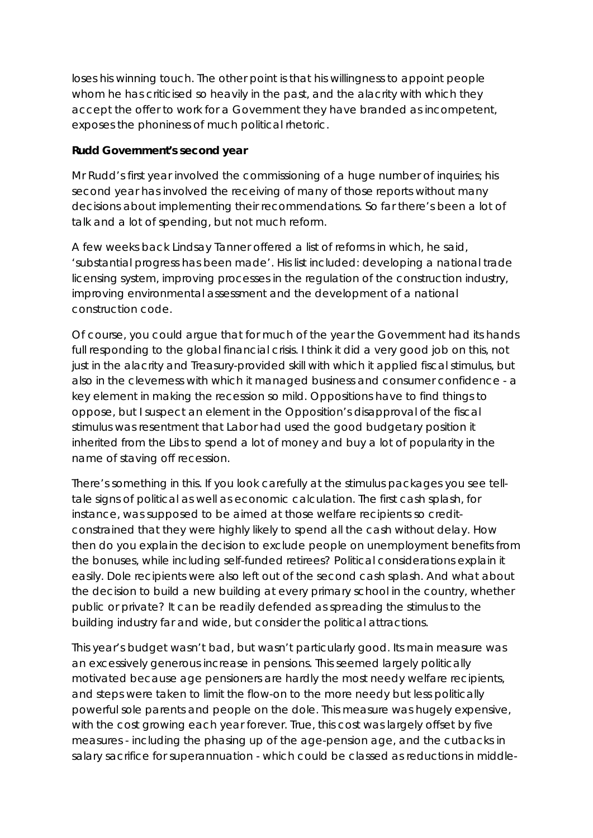loses his winning touch. The other point is that his willingness to appoint people whom he has criticised so heavily in the past, and the alacrity with which they accept the offer to work for a Government they have branded as incompetent, exposes the phoniness of much political rhetoric.

# **Rudd Government's second year**

Mr Rudd's first year involved the commissioning of a huge number of inquiries; his second year has involved the receiving of many of those reports without many decisions about implementing their recommendations. So far there's been a lot of talk and a lot of spending, but not much reform.

A few weeks back Lindsay Tanner offered a list of reforms in which, he said, 'substantial progress has been made'. His list included: developing a national trade licensing system, improving processes in the regulation of the construction industry, improving environmental assessment and the development of a national construction code.

Of course, you could argue that for much of the year the Government had its hands full responding to the global financial crisis. I think it did a very good job on this, not just in the alacrity and Treasury-provided skill with which it applied fiscal stimulus, but also in the cleverness with which it managed business and consumer confidence - a key element in making the recession so mild. Oppositions have to find things to oppose, but I suspect an element in the Opposition's disapproval of the fiscal stimulus was resentment that Labor had used the good budgetary position it inherited from the Libs to spend a lot of money and buy a lot of popularity in the name of staving off recession.

There's something in this. If you look carefully at the stimulus packages you see telltale signs of political as well as economic calculation. The first cash splash, for instance, was supposed to be aimed at those welfare recipients so creditconstrained that they were highly likely to spend all the cash without delay. How then do you explain the decision to exclude people on unemployment benefits from the bonuses, while including self-funded retirees? Political considerations explain it easily. Dole recipients were also left out of the second cash splash. And what about the decision to build a new building at every primary school in the country, whether public or private? It can be readily defended as spreading the stimulus to the building industry far and wide, but consider the political attractions.

This year's budget wasn't bad, but wasn't particularly good. Its main measure was an excessively generous increase in pensions. This seemed largely politically motivated because age pensioners are hardly the most needy welfare recipients, and steps were taken to limit the flow-on to the more needy but less politically powerful sole parents and people on the dole. This measure was hugely expensive, with the cost growing each year forever. True, this cost was largely offset by five measures - including the phasing up of the age-pension age, and the cutbacks in salary sacrifice for superannuation - which could be classed as reductions in middle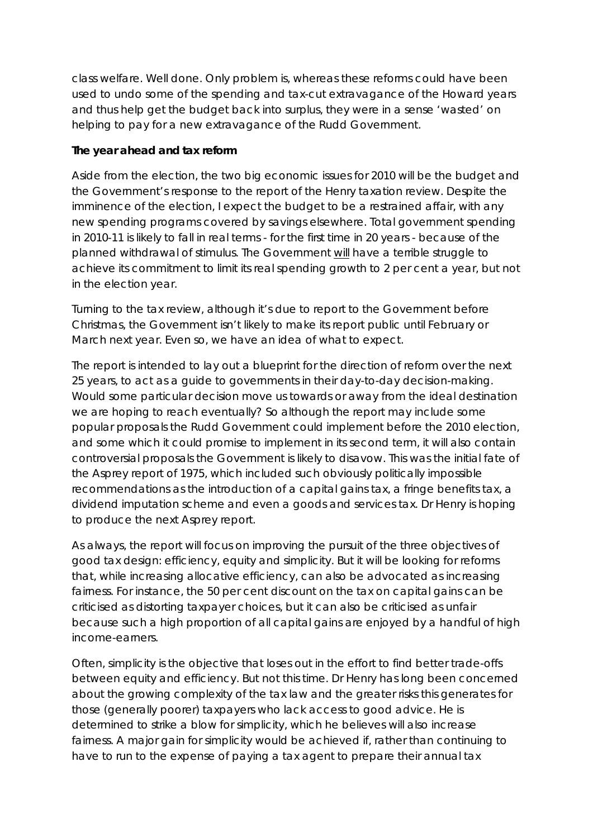class welfare. Well done. Only problem is, whereas these reforms could have been used to undo some of the spending and tax-cut extravagance of the Howard years and thus help get the budget back into surplus, they were in a sense 'wasted' on helping to pay for a new extravagance of the Rudd Government.

# **The year ahead and tax reform**

Aside from the election, the two big economic issues for 2010 will be the budget and the Government's response to the report of the Henry taxation review. Despite the imminence of the election, I expect the budget to be a restrained affair, with any new spending programs covered by savings elsewhere. Total government spending in 2010-11 is likely to fall in real terms - for the first time in 20 years - because of the planned withdrawal of stimulus. The Government will have a terrible struggle to achieve its commitment to limit its real spending growth to 2 per cent a year, but not in the election year.

Turning to the tax review, although it's due to report to the Government before Christmas, the Government isn't likely to make its report public until February or March next year. Even so, we have an idea of what to expect.

The report is intended to lay out a blueprint for the direction of reform over the next 25 years, to act as a guide to governments in their day-to-day decision-making. Would some particular decision move us towards or away from the ideal destination we are hoping to reach eventually? So although the report may include some popular proposals the Rudd Government could implement before the 2010 election, and some which it could promise to implement in its second term, it will also contain controversial proposals the Government is likely to disavow. This was the initial fate of the Asprey report of 1975, which included such obviously politically impossible recommendations as the introduction of a capital gains tax, a fringe benefits tax, a dividend imputation scheme and even a goods and services tax. Dr Henry is hoping to produce the next Asprey report.

As always, the report will focus on improving the pursuit of the three objectives of good tax design: efficiency, equity and simplicity. But it will be looking for reforms that, while increasing allocative efficiency, can also be advocated as increasing fairness. For instance, the 50 per cent discount on the tax on capital gains can be criticised as distorting taxpayer choices, but it can also be criticised as unfair because such a high proportion of all capital gains are enjoyed by a handful of high income-earners.

Often, simplicity is the objective that loses out in the effort to find better trade-offs between equity and efficiency. But not this time. Dr Henry has long been concerned about the growing complexity of the tax law and the greater risks this generates for those (generally poorer) taxpayers who lack access to good advice. He is determined to strike a blow for simplicity, which he believes will also increase fairness. A major gain for simplicity would be achieved if, rather than continuing to have to run to the expense of paying a tax agent to prepare their annual tax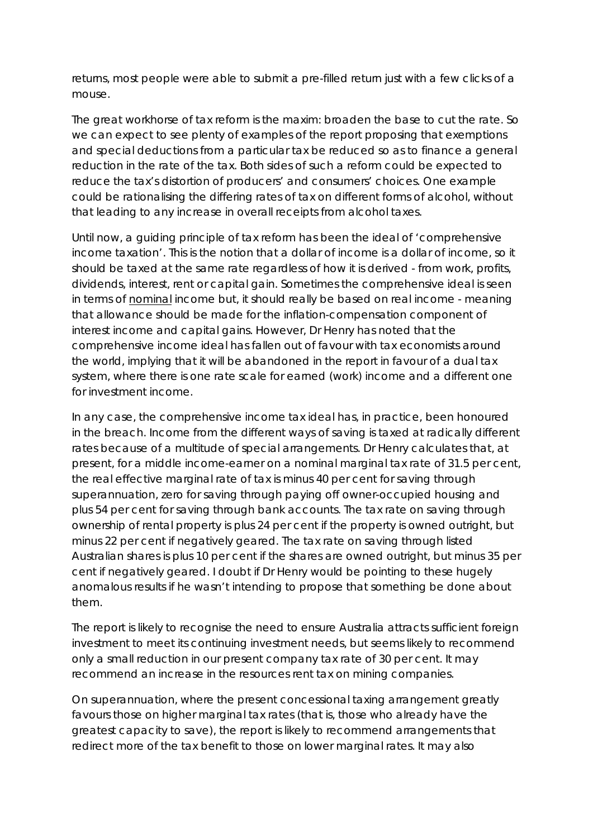returns, most people were able to submit a pre-filled return just with a few clicks of a mouse.

The great workhorse of tax reform is the maxim: broaden the base to cut the rate. So we can expect to see plenty of examples of the report proposing that exemptions and special deductions from a particular tax be reduced so as to finance a general reduction in the rate of the tax. Both sides of such a reform could be expected to reduce the tax's distortion of producers' and consumers' choices. One example could be rationalising the differing rates of tax on different forms of alcohol, without that leading to any increase in overall receipts from alcohol taxes.

Until now, a guiding principle of tax reform has been the ideal of 'comprehensive income taxation'. This is the notion that a dollar of income is a dollar of income, so it should be taxed at the same rate regardless of how it is derived - from work, profits, dividends, interest, rent or capital gain. Sometimes the comprehensive ideal is seen in terms of nominal income but, it should really be based on real income - meaning that allowance should be made for the inflation-compensation component of interest income and capital gains. However, Dr Henry has noted that the comprehensive income ideal has fallen out of favour with tax economists around the world, implying that it will be abandoned in the report in favour of a dual tax system, where there is one rate scale for earned (work) income and a different one for investment income.

In any case, the comprehensive income tax ideal has, in practice, been honoured in the breach. Income from the different ways of saving is taxed at radically different rates because of a multitude of special arrangements. Dr Henry calculates that, at present, for a middle income-earner on a nominal marginal tax rate of 31.5 per cent, the real effective marginal rate of tax is minus 40 per cent for saving through superannuation, zero for saving through paying off owner-occupied housing and plus 54 per cent for saving through bank accounts. The tax rate on saving through ownership of rental property is plus 24 per cent if the property is owned outright, but minus 22 per cent if negatively geared. The tax rate on saving through listed Australian shares is plus 10 per cent if the shares are owned outright, but minus 35 per cent if negatively geared. I doubt if Dr Henry would be pointing to these hugely anomalous results if he wasn't intending to propose that something be done about them.

The report is likely to recognise the need to ensure Australia attracts sufficient foreign investment to meet its continuing investment needs, but seems likely to recommend only a small reduction in our present company tax rate of 30 per cent. It may recommend an increase in the resources rent tax on mining companies.

On superannuation, where the present concessional taxing arrangement greatly favours those on higher marginal tax rates (that is, those who already have the greatest capacity to save), the report is likely to recommend arrangements that redirect more of the tax benefit to those on lower marginal rates. It may also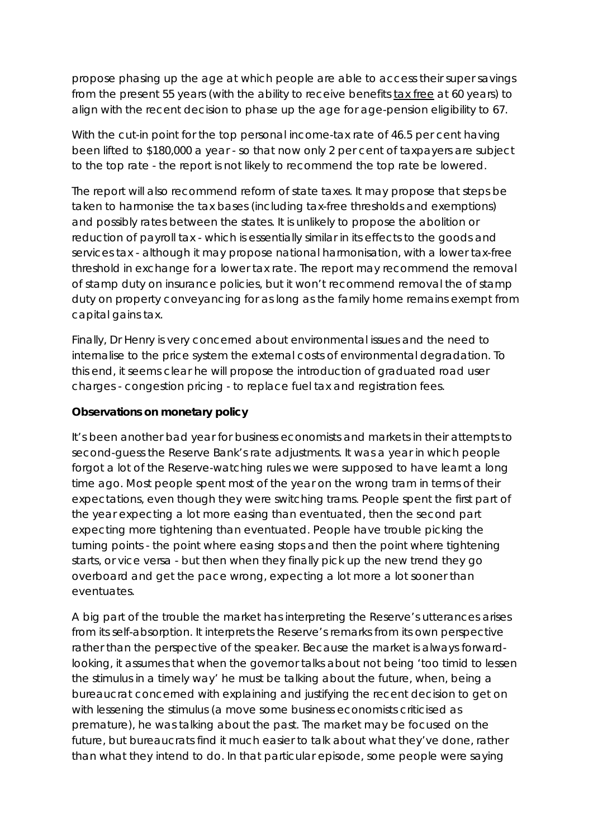propose phasing up the age at which people are able to access their super savings from the present 55 years (with the ability to receive benefits tax free at 60 years) to align with the recent decision to phase up the age for age-pension eligibility to 67.

With the cut-in point for the top personal income-tax rate of 46.5 per cent having been lifted to \$180,000 a year - so that now only 2 per cent of taxpayers are subject to the top rate - the report is not likely to recommend the top rate be lowered.

The report will also recommend reform of state taxes. It may propose that steps be taken to harmonise the tax bases (including tax-free thresholds and exemptions) and possibly rates between the states. It is unlikely to propose the abolition or reduction of payroll tax - which is essentially similar in its effects to the goods and services tax - although it may propose national harmonisation, with a lower tax-free threshold in exchange for a lower tax rate. The report may recommend the removal of stamp duty on insurance policies, but it won't recommend removal the of stamp duty on property conveyancing for as long as the family home remains exempt from capital gains tax.

Finally, Dr Henry is very concerned about environmental issues and the need to internalise to the price system the external costs of environmental degradation. To this end, it seems clear he will propose the introduction of graduated road user charges - congestion pricing - to replace fuel tax and registration fees.

### **Observations on monetary policy**

It's been another bad year for business economists and markets in their attempts to second-guess the Reserve Bank's rate adjustments. It was a year in which people forgot a lot of the Reserve-watching rules we were supposed to have learnt a long time ago. Most people spent most of the year on the wrong tram in terms of their expectations, even though they were switching trams. People spent the first part of the year expecting a lot more easing than eventuated, then the second part expecting more tightening than eventuated. People have trouble picking the turning points - the point where easing stops and then the point where tightening starts, or vice versa - but then when they finally pick up the new trend they go overboard and get the pace wrong, expecting a lot more a lot sooner than eventuates.

A big part of the trouble the market has interpreting the Reserve's utterances arises from its self-absorption. It interprets the Reserve's remarks from its own perspective rather than the perspective of the speaker. Because the market is always forwardlooking, it assumes that when the governor talks about not being 'too timid to lessen the stimulus in a timely way' he must be talking about the future, when, being a bureaucrat concerned with explaining and justifying the recent decision to get on with lessening the stimulus (a move some business economists criticised as premature), he was talking about the past. The market may be focused on the future, but bureaucrats find it much easier to talk about what they've done, rather than what they intend to do. In that particular episode, some people were saying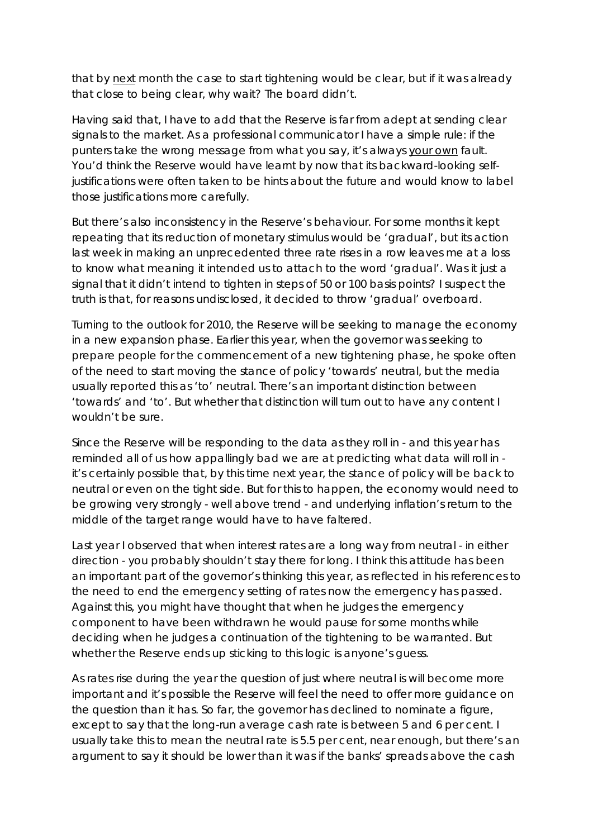that by next month the case to start tightening would be clear, but if it was already that close to being clear, why wait? The board didn't.

Having said that, I have to add that the Reserve is far from adept at sending clear signals to the market. As a professional communicator I have a simple rule: if the punters take the wrong message from what you say, it's always your own fault. You'd think the Reserve would have learnt by now that its backward-looking selfjustifications were often taken to be hints about the future and would know to label those justifications more carefully.

But there's also inconsistency in the Reserve's behaviour. For some months it kept repeating that its reduction of monetary stimulus would be 'gradual', but its action last week in making an unprecedented three rate rises in a row leaves me at a loss to know what meaning it intended us to attach to the word 'gradual'. Was it just a signal that it didn't intend to tighten in steps of 50 or 100 basis points? I suspect the truth is that, for reasons undisclosed, it decided to throw 'gradual' overboard.

Turning to the outlook for 2010, the Reserve will be seeking to manage the economy in a new expansion phase. Earlier this year, when the governor was seeking to prepare people for the commencement of a new tightening phase, he spoke often of the need to start moving the stance of policy 'towards' neutral, but the media usually reported this as 'to' neutral. There's an important distinction between 'towards' and 'to'. But whether that distinction will turn out to have any content I wouldn't be sure.

Since the Reserve will be responding to the data as they roll in - and this year has reminded all of us how appallingly bad we are at predicting what data will roll in it's certainly possible that, by this time next year, the stance of policy will be back to neutral or even on the tight side. But for this to happen, the economy would need to be growing very strongly - well above trend - and underlying inflation's return to the middle of the target range would have to have faltered.

Last year I observed that when interest rates are a long way from neutral - in either direction - you probably shouldn't stay there for long. I think this attitude has been an important part of the governor's thinking this year, as reflected in his references to the need to end the emergency setting of rates now the emergency has passed. Against this, you might have thought that when he judges the emergency component to have been withdrawn he would pause for some months while deciding when he judges a continuation of the tightening to be warranted. But whether the Reserve ends up sticking to this logic is anyone's guess.

As rates rise during the year the question of just where neutral is will become more important and it's possible the Reserve will feel the need to offer more guidance on the question than it has. So far, the governor has declined to nominate a figure, except to say that the long-run average cash rate is between 5 and 6 per cent. I usually take this to mean the neutral rate is 5.5 per cent, near enough, but there's an argument to say it should be lower than it was if the banks' spreads above the cash